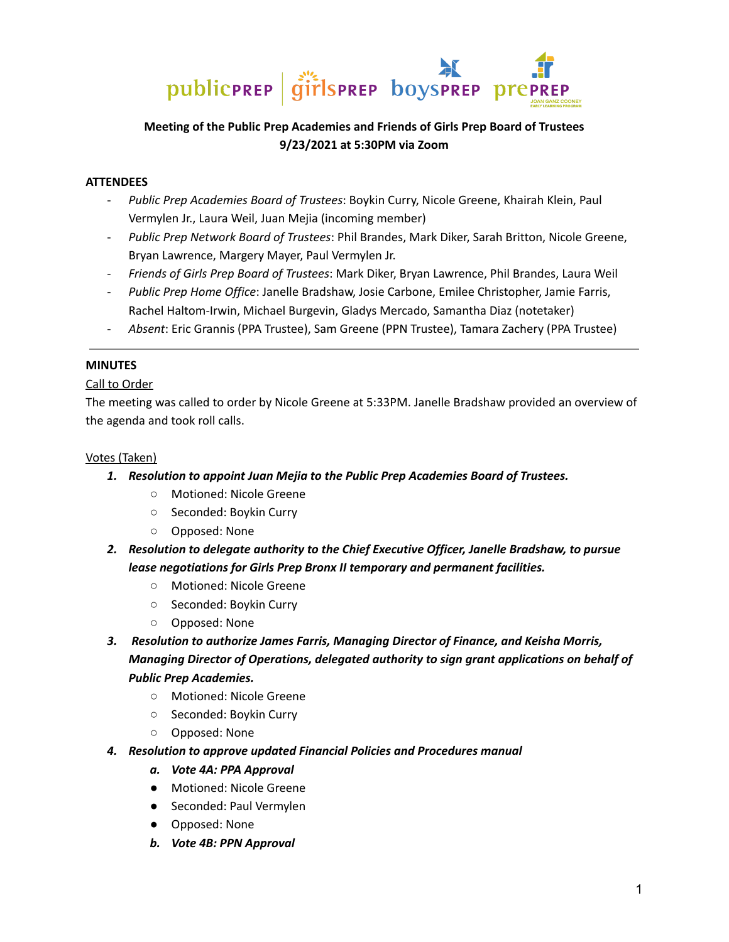

# **Meeting of the Public Prep Academies and Friends of Girls Prep Board of Trustees 9/23/2021 at 5:30PM via Zoom**

## **ATTENDEES**

- *Public Prep Academies Board of Trustees*: Boykin Curry, Nicole Greene, Khairah Klein, Paul Vermylen Jr., Laura Weil, Juan Mejia (incoming member)
- *Public Prep Network Board of Trustees*: Phil Brandes, Mark Diker, Sarah Britton, Nicole Greene, Bryan Lawrence, Margery Mayer, Paul Vermylen Jr.
- *Friends of Girls Prep Board of Trustees*: Mark Diker, Bryan Lawrence, Phil Brandes, Laura Weil
- *Public Prep Home Office*: Janelle Bradshaw, Josie Carbone, Emilee Christopher, Jamie Farris, Rachel Haltom-Irwin, Michael Burgevin, Gladys Mercado, Samantha Diaz (notetaker)
- *Absent*: Eric Grannis (PPA Trustee), Sam Greene (PPN Trustee), Tamara Zachery (PPA Trustee)

### **MINUTES**

## Call to Order

The meeting was called to order by Nicole Greene at 5:33PM. Janelle Bradshaw provided an overview of the agenda and took roll calls.

### Votes (Taken)

- *1. Resolution to appoint Juan Mejia to the Public Prep Academies Board of Trustees.*
	- Motioned: Nicole Greene
	- Seconded: Boykin Curry
	- Opposed: None
- *2. Resolution to delegate authority to the Chief Executive Officer, Janelle Bradshaw, to pursue lease negotiations for Girls Prep Bronx II temporary and permanent facilities.*
	- Motioned: Nicole Greene
	- Seconded: Boykin Curry
	- Opposed: None
- *3. Resolution to authorize James Farris, Managing Director of Finance, and Keisha Morris, Managing Director of Operations, delegated authority to sign grant applications on behalf of Public Prep Academies.*
	- Motioned: Nicole Greene
	- Seconded: Boykin Curry
	- Opposed: None
- *4. Resolution to approve updated Financial Policies and Procedures manual*
	- *a. Vote 4A: PPA Approval*
	- Motioned: Nicole Greene
	- Seconded: Paul Vermylen
	- Opposed: None
	- *b. Vote 4B: PPN Approval*